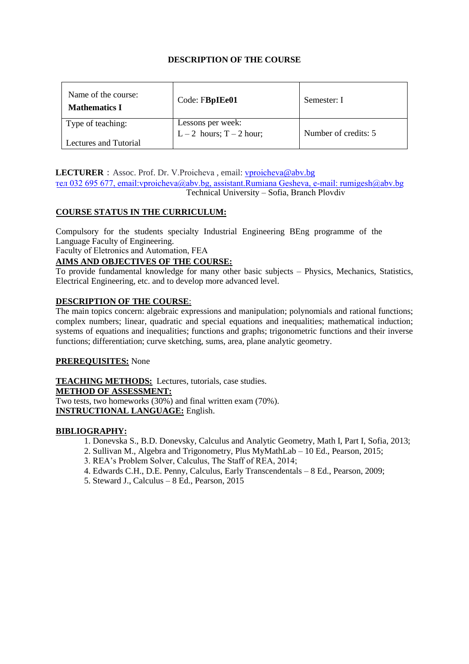| Name of the course:<br><b>Mathematics I</b> | Code: FBpIEe01           | Semester: I          |
|---------------------------------------------|--------------------------|----------------------|
| Type of teaching:                           | Lessons per week:        |                      |
|                                             | $L-2$ hours; $T-2$ hour; | Number of credits: 5 |
| Lectures and Tutorial                       |                          |                      |

#### LECTURER : Assoc. Prof. Dr. V.Proicheva, email: vproicheva@abv.bg

тел 032 695 677, email:vproicheva@abv.bg, assistant[.Rumiana Gesheva](mailto:sdon@tu-sofia.bg), e-mail: rumigesh@abv.bg Technical University – Sofia, Branch Plovdiv

#### **COURSE STATUS IN THE CURRICULUM:**

r Compulsory for the students specialty Industrial Engineering BEng programme of the Language Faculty of Engineering.

Faculty of Eletronics and Automation, FEA

#### **AIMS AND OBJECTIVES OF THE COURSE:**

To provide fundamental knowledge for many other basic subjecture. To provide fundamental knowledge for many other basic subjects – Physics, Mechanics, Statistics,

#### **DESCRIPTION OF THE COURSE**:

The main topics concern: algebraic expressions and manipulation; polynomials and rational functions; complex numbers; linear, quadratic and special equations and inequalities; mathematical induction; systems of equations and inequalities; functions and graphs; trigonometric functions and their inverse functions; differentiation; curve sketching, sums, area, plane analytic geometry.

#### **PREREQUISITES:** None

**TEACHING METHODS:** Lectures, tutorials, case studies. **METHOD OF ASSESSMENT:** Two tests, two homeworks (30%) and final written exam (70%). **INSTRUCTIONAL LANGUAGE:** English.

- 1. Donevska S., B.D. Donevsky, Calculus and Analytic Geometry, Math I, Part I, Sofia, 2013;
- 2. Sullivan M., Algebra and Trigonometry, Plus MyMathLab 10 Ed., Pearson, 2015;
- 3. REA's Problem Solver, Calculus, The Staff of REA, 2014;
- 4. Edwards C.H., D.E. Penny, Calculus, Early Transcendentals 8 Ed., Pearson, 2009;
- 5. Steward J., Calculus 8 Ed., Pearson, 2015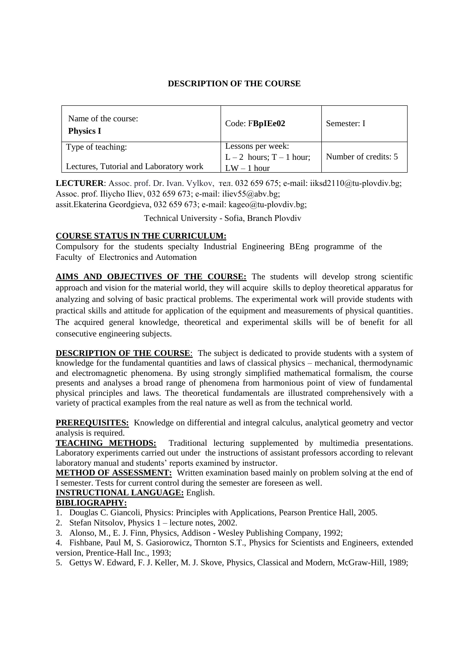| Name of the course:<br><b>Physics I</b> | Code: FBpIEe02             | Semester: I          |
|-----------------------------------------|----------------------------|----------------------|
| Type of teaching:                       | Lessons per week:          |                      |
|                                         | L – 2 hours; $T - 1$ hour; | Number of credits: 5 |
| Lectures, Tutorial and Laboratory work  | $LW - 1$ hour              |                      |

**LECTURER**: Assoc. prof. Dr. Ivan. Vylkov, тел. 032 659 675; e-mail: iiksd2110@tu-plovdiv.bg; Assoc. prof. Iliycho Iliev, 032 659 673; e-mail: iliev55@abv.bg;

assit.Ekaterina Geordgieva, 032 659 673; e-mail: kageo@tu-plovdiv.[bg;](mailto:izhivkov@tu-sofia.bg)

Technical University - Sofia, Branch Plovdiv

### **COURSE STATUS IN THE CURRICULUM:**

Compulsory for the students specialty Industrial Engineering BEng programme of the Faculty of Electronics and Automation

**AIMS AND OBJECTIVES OF THE COURSE:** The students will develop strong scientific practical skills and attitude for application of the equipment and measurements of physical quantities. approach and vision for the material world, they will acquire skills to deploy theoretical apparatus for analyzing and solving of basic practical problems. The experimental work will provide students with The acquired general knowledge, theoretical and experimental skills will be of benefit for all consecutive engineering subjects.

**DESCRIPTION OF THE COURSE**: The subject is dedicated to provide students with a system of knowledge for the fundamental quantities and laws of classical physics – mechanical, thermodynamic and electromagnetic phenomena. By using strongly simplified mathematical formalism, the course presents and analyses a broad range of phenomena from harmonious point of view of fundamental physical principles and laws. The theoretical fundamentals are illustrated comprehensively with a variety of practical examples from the real nature as well as from the technical world.

**PREREQUISITES:** Knowledge on differential and integral calculus, analytical geometry and vector analysis is required.

**TEACHING METHODS:** Traditional lecturing supplemented by multimedia presentations. Laboratory experiments carried out under the instructions of assistant professors according to relevant laboratory manual and students' reports examined by instructor.

**METHOD OF ASSESSMENT:** Written examination based mainly on problem solving at the end of I semester. Tests for current control during the semester are foreseen as well.

#### **INSTRUCTIONAL LANGUAGE:** English.

- 1. Douglas C. Giancoli, Physics: Principles with Applications, Pearson Prentice Hall, 2005.
- 2. Stefan Nitsolov, Physics 1 lecture notes, 2002.
- 3. Alonso, M., E. J. Finn, Physics, Addison Wesley Publishing Company, 1992;
- 4. Fishbane, Paul M, S. Gasiorowicz, Thornton S.T., Physics for Scientists and Engineers, extended version, Prentice-Hall Inc., 1993;
- 5. Gettys W. Edward, F. J. Keller, M. J. Skove, Physics, Classical and Modern, McGraw-Hill, 1989;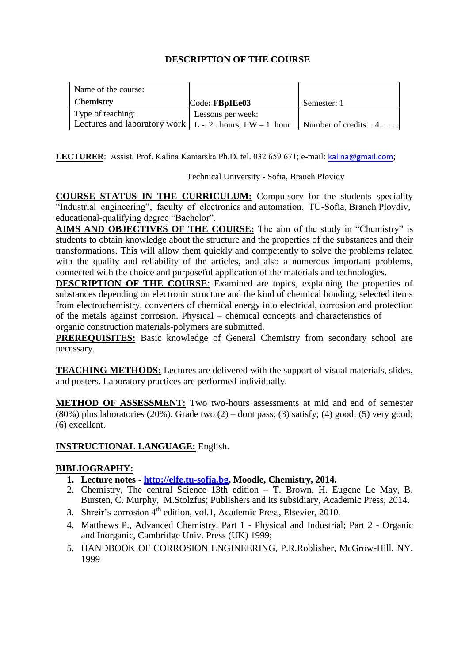| Name of the course:                                        |                   |                               |
|------------------------------------------------------------|-------------------|-------------------------------|
| <b>Chemistry</b>                                           | Code: FBpIEe03    | Semester: 1                   |
| Type of teaching:                                          | Lessons per week: |                               |
| Lectures and laboratory work $ L - 2$ . hours; LW - 1 hour |                   | Number of credits: $\ldots$ . |

**LECTURER**: Assist. Prof. Kalina Kamarska Ph.D. tel. 032 659 671; e-mail: [kalina@gmail.co](mailto:iva_betova@tu-sofia.bg)m;

Technical University - Sofia, Branch Plovidv

**COURSE STATUS IN THE CURRICULUM:** Compulsory for the students speciality "Industrial engineering", faculty of electronics and automation, TU-Sofia, Branch Plovdiv, educational-qualifying degree "Bachelor".

**AIMS AND OBJECTIVES OF THE COURSE:** The aim of the study in "Chemistry" is students to obtain knowledge about the structure and the properties of the substances and their transformations. This will allow them quickly and competently to solve the problems related with the quality and reliability of the articles, and also a numerous important problems, connected with the choice and purposeful application of the materials and technologies.

**DESCRIPTION OF THE COURSE:** Examined are topics, explaining the properties of substances depending on electronic structure and the kind of chemical bonding, selected items from electrochemistry, converters of chemical energy into electrical, corrosion and protection of the metals against corrosion. Physical – chemical concepts and characteristics of organic construction materials-polymers are submitted.

**PREREQUISITES:** Basic knowledge of General Chemistry from secondary school are necessary.

**TEACHING METHODS:** Lectures are delivered with the support of visual materials, slides, and posters. Laboratory practices are performed individually.

**METHOD OF ASSESSMENT:** Two two-hours assessments at mid and end of semester  $(80\%)$  plus laboratories  $(20\%)$ . Grade two  $(2)$  – dont pass; (3) satisfy; (4) good; (5) very good; (6) excellent.

# **INSTRUCTIONAL LANGUAGE:** English.

- **1. Lecture notes - [http://elfe.tu-sofia.bg,](http://elfe.tu-sofia.bg/) Moodle, Chemistry, 2014.**
- 2. Chemistry, The central Science 13th edition T. Brown, H. Eugene Le May, B. Bursten, C. Murphy, M.Stolzfus; Publishers and its subsidiary, Academic Press, 2014.
- 3. Shreir's corrosion 4<sup>th</sup> edition, vol.1, Academic Press, Elsevier, 2010.
- 4. Matthews P., Advanced Chemistry. Part 1 Physical and Industrial; Part 2 Organic and Inorganic, Cambridge Univ. Press (UK) 1999;
- 5. HANDBOOK OF CORROSION ENGINEERING, P.R.Roblisher, McGrow-Hill, NY, 1999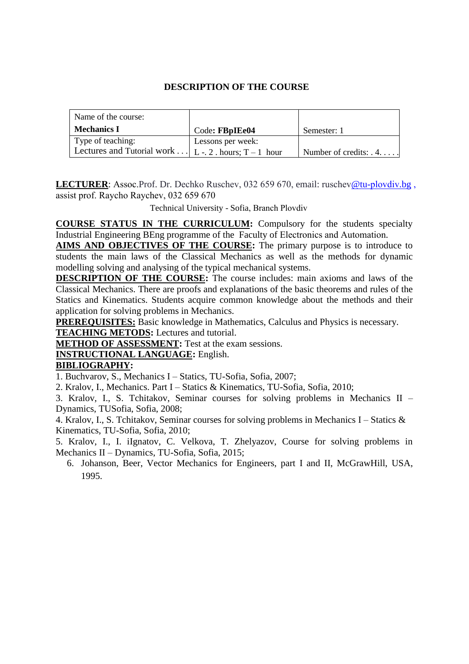| Name of the course:                                   |                   |                               |
|-------------------------------------------------------|-------------------|-------------------------------|
| Mechanics I                                           | Code: FBpIEe04    | Semester: 1                   |
| Type of teaching:                                     | Lessons per week: |                               |
| Lectures and Tutorial work $ L - 2$ hours; T – 1 hour |                   | Number of credits: $\ldots$ . |

**LECTURER**: Assoc.Prof. Dr. Dechko [Ruschev, 032 659 670](mailto:kralov@tu-sofia.bg), email: ruschev@tu-plovdiv.bg , assist prof. Raycho Raychev, 032 659 670

Technical University - Sofia, Branch Plovdiv

**COURSE STATUS IN THE CURRICULUM:** Compulsory for the students specialty Industrial Engineering BEng programme of the Faculty of Electronics and Automation.

**AIMS AND OBJECTIVES OF THE COURSE:** The primary purpose is to introduce to students the main laws of the Classical Mechanics as well as the methods for dynamic modelling solving and analysing of the typical mechanical systems.

**DESCRIPTION OF THE COURSE:** The course includes: main axioms and laws of the Classical Mechanics. There are proofs and explanations of the basic theorems and rules of the Statics and Kinematics. Students acquire common knowledge about the methods and their application for solving problems in Mechanics.

**PREREQUISITES:** Basic knowledge in Mathematics, Calculus and Physics is necessary.

**TEACHING METODS:** Lectures and tutorial.

**METHOD OF ASSESSMENT:** Test at the exam sessions.

# **INSTRUCTIONAL LANGUAGE:** English.

# **BIBLIOGRAPHY:**

1. Buchvarov, S., Mechanics I – Statics, TU-Sofia, Sofia, 2007;

2. Kralov, I., Mechanics. Part I – Statics & Kinematics, TU-Sofia, Sofia, 2010;

3. Kralov, I., S. Tchitakov, Seminar courses for solving problems in Mechanics II – Dynamics, TUSofia, Sofia, 2008;

4. Kralov, I., S. Tchitakov, Seminar courses for solving problems in Mechanics I – Statics & Kinematics, TU-Sofia, Sofia, 2010;

5. Kralov, I., I. iIgnatov, C. Velkova, T. Zhelyazov, Course for solving problems in Mechanics II – Dynamics, TU-Sofia, Sofia, 2015;

6. Johanson, Beer, Vector Mechanics for Engineers, part I and II, McGrawHill, USA, 1995.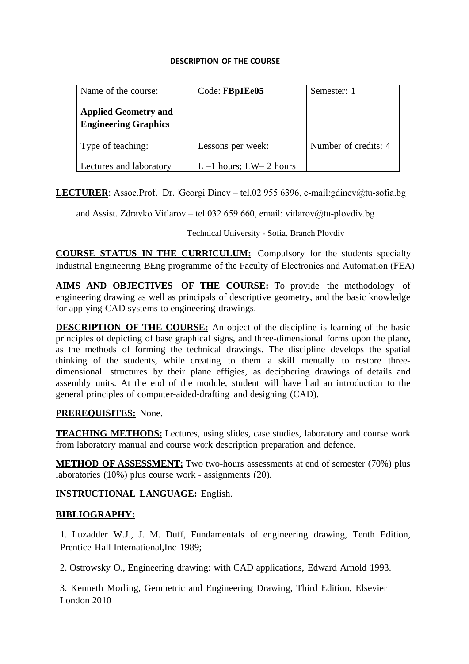| Name of the course:                                        | Code: FBpIEe05            | Semester: 1          |
|------------------------------------------------------------|---------------------------|----------------------|
| <b>Applied Geometry and</b><br><b>Engineering Graphics</b> |                           |                      |
| Type of teaching:                                          | Lessons per week:         | Number of credits: 4 |
| Lectures and laboratory                                    | $L-1$ hours; $LW-2$ hours |                      |

**LECTURER**: Assoc.Prof. Dr. |Georgi Dinev – tel.02 955 6396, e-mail:gdinev@tu-sofia.bg

and Assist. Zdravko Vitlarov – tel.032 659 660, email: vitlarov@tu-plovdiv.bg

Technical University - Sofia, Branch Plovdiv

**COURSE STATUS IN THE CURRICULUM:** Compulsory for the students specialty Industrial Engineering BEng programme of the Faculty of Electronics and Automation (FEA)

**AIMS AND OBJECTIVES OF THE COURSE:** To provide the methodology of engineering drawing as well as principals of descriptive geometry, and the basic knowledge for applying CAD systems to engineering drawings.

**DESCRIPTION OF THE COURSE:** An object of the discipline is learning of the basic principles of depicting of base graphical signs, and three-dimensional forms upon the plane, as the methods of forming the technical drawings. The discipline develops the spatial thinking of the students, while creating to them a skill mentally to restore threedimensional structures by their plane effigies, as deciphering drawings of details and assembly units. At the end of the module, student will have had an introduction to the general principles of computer-aided-drafting and designing (CAD).

# **PREREQUISITES:** None.

**TEACHING METHODS:** Lectures, using slides, case studies, laboratory and course work from laboratory manual and course work description preparation and defence.

**METHOD OF ASSESSMENT:** Two two-hours assessments at end of semester (70%) plus laboratories (10%) plus course work - assignments (20).

# **INSTRUCTIONAL LANGUAGE:** English.

# **BIBLIOGRAPHY:**

1. Luzadder W.J., J. M. Duff, Fundamentals of engineering drawing, Tenth Edition, Prentice-Hall International,Inc 1989;

2. Ostrowsky O., Engineering drawing: with CAD applications, Edward Arnold 1993.

3. Kenneth Morling, Geometric and Engineering Drawing, Third Edition, Elsevier London 2010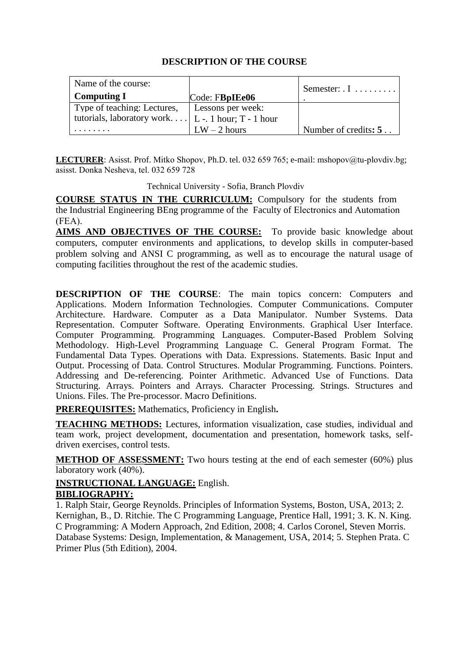| Name of the course:                                      |                   | Semester: $\overline{I}$ $\overline{I}$ $\overline{I}$ $\overline{I}$ $\overline{I}$ $\overline{I}$ $\overline{I}$ $\overline{I}$ $\overline{I}$ $\overline{I}$ |
|----------------------------------------------------------|-------------------|-----------------------------------------------------------------------------------------------------------------------------------------------------------------|
| Computing I                                              | Code: FBpIEe06    |                                                                                                                                                                 |
| Type of teaching: Lectures,                              | Lessons per week: |                                                                                                                                                                 |
| tutorials, laboratory work $\mid$ L - 1 hour; T - 1 hour |                   |                                                                                                                                                                 |
|                                                          | $LW - 2$ hours    | Number of credits: 5                                                                                                                                            |
|                                                          |                   |                                                                                                                                                                 |

LECTURER: Asisst. Prof. Mitko Shopov, Ph.D. tel. 032 659 765; e-mail: m[shopov@tu-plovdiv.bg](mailto:lstoyanova@tu-sofia.bg); asisst. Donka Nesheva, tel. 032 659 728

Technical University - Sofia, Branch Plovdiv

**COURSE STATUS IN THE CURRICULUM:** Compulsory for the students from the Industrial Engineering BEng programme of the Faculty of Electronics and Automation (FEA).

**AIMS AND OBJECTIVES OF THE COURSE:** To provide basic knowledge about computers, computer environments and applications, to develop skills in computer-based problem solving and ANSI C programming, as well as to encourage the natural usage of computing facilities throughout the rest of the academic studies.

**DESCRIPTION OF THE COURSE**: The main topics concern: Computers and Applications. Modern Information Technologies. Computer Communications. Computer Architecture. Hardware. Computer as a Data Manipulator. Number Systems. Data Representation. Computer Software. Operating Environments. Graphical User Interface. Computer Programming. Programming Languages. Computer-Based Problem Solving Methodology. High-Level Programming Language C. General Program Format. The Fundamental Data Types. Operations with Data. Expressions. Statements. Basic Input and Output. Processing of Data. Control Structures. Modular Programming. Functions. Pointers. Addressing and De-referencing. Pointer Arithmetic. Advanced Use of Functions. Data Structuring. Arrays. Pointers and Arrays. Character Processing. Strings. Structures and Unions. Files. The Pre-processor. Macro Definitions.

**PREREQUISITES:** Mathematics, Proficiency in English**.**

**TEACHING METHODS:** Lectures, information visualization, case studies, individual and team work, project development, documentation and presentation, homework tasks, selfdriven exercises, control tests.

**METHOD OF ASSESSMENT:** Two hours testing at the end of each semester (60%) plus laboratory work (40%).

# **INSTRUCTIONAL LANGUAGE:** English.

# **BIBLIOGRAPHY:**

1. Ralph Stair, George Reynolds. Principles of Information Systems, Boston, USA, 2013; 2. Kernighan, B., D. Ritchie. The C Programming Language, Prentice Hall, 1991; 3. [K. N. King.](http://www.amazon.com/K.-N.-King/e/B000APEOAW/ref=dp_byline_cont_book_1) C Programming: A Modern Approach, 2nd Edition, 2008; 4. Carlos Coronel, Steven Morris. Database Systems: Design, Implementation, & Management, USA, 2014; 5. Stephen Prata. C Primer Plus (5th Edition), 2004.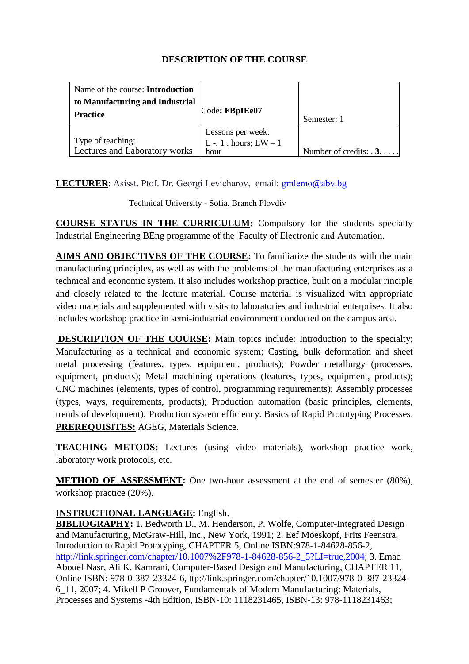| Name of the course: <b>Introduction</b> |                          |                               |
|-----------------------------------------|--------------------------|-------------------------------|
| to Manufacturing and Industrial         |                          |                               |
| <b>Practice</b>                         | Code: FBpIEe07           | Semester: 1                   |
|                                         | Lessons per week:        |                               |
| Type of teaching:                       | L -. 1 . hours; $LW - 1$ |                               |
| Lectures and Laboratory works           | hour                     | Number of credits: $\ldots$ . |

**LECTURER**: Asisst. Ptof. Dr. Georgi Levicharov, email: [gmlemo](mailto:ivoianakiev@mail.bg)@abv.bg

Technical University - Sofia, Branch Plovdiv

**COURSE STATUS IN THE CURRICULUM:** Compulsory for the students specialty Industrial Engineering BEng programme of the Faculty of Electronic and Automation.

**AIMS AND OBJECTIVES OF THE COURSE:** To familiarize the students with the main manufacturing principles, as well as with the problems of the manufacturing enterprises as a technical and economic system. It also includes workshop practice, built on a modular rinciple and closely related to the lecture material. Course material is visualized with appropriate video materials and supplemented with visits to laboratories and industrial enterprises. It also includes workshop practice in semi-industrial environment conducted on the campus area.

**DESCRIPTION OF THE COURSE:** Main topics include: Introduction to the specialty; Manufacturing as a technical and economic system; Casting, bulk deformation and sheet metal processing (features, types, equipment, products); Powder metallurgy (processes, equipment, products); Metal machining operations (features, types, equipment, products); CNC machines (elements, types of control, programming requirements); Assembly processes (types, ways, requirements, products); Production automation (basic principles, elements, trends of development); Production system efficiency. Basics of Rapid Prototyping Processes. **PREREQUISITES:** AGEG, Materials Science.

**TEACHING METODS:** Lectures (using video materials), workshop practice work, laboratory work protocols, etc.

**METHOD OF ASSESSMENT:** One two-hour assessment at the end of semester (80%), workshop practice (20%).

# **INSTRUCTIONAL LANGUAGE:** English.

**BIBLIOGRAPHY:** 1. Bedworth D., M. Henderson, P. Wolfe, Computer-Integrated Design and Manufacturing, McGraw-Hill, Inc., New York, 1991; 2. Eef Moeskopf, Frits Feenstra, Introduction to Rapid Prototyping, CHAPTER 5, Online ISBN:978-1-84628-856-2, [http://link.springer.com/chapter/10.1007%2F978-1-84628-856-2\\_5?LI=true,2004;](http://link.springer.com/chapter/10.1007%2F978-1-84628-856-2_5?LI=true,2004) 3. Emad Abouel Nasr, Ali K. Kamrani, Computer-Based Design and Manufacturing, CHAPTER 11, Online ISBN: 978-0-387-23324-6, ttp://link.springer.com/chapter/10.1007/978-0-387-23324- 6\_11, 2007; 4. Mikell P Groover, Fundamentals of Modern Manufacturing: Materials, Processes and Systems -4th Edition, ISBN-10: 1118231465, ISBN-13: 978-1118231463;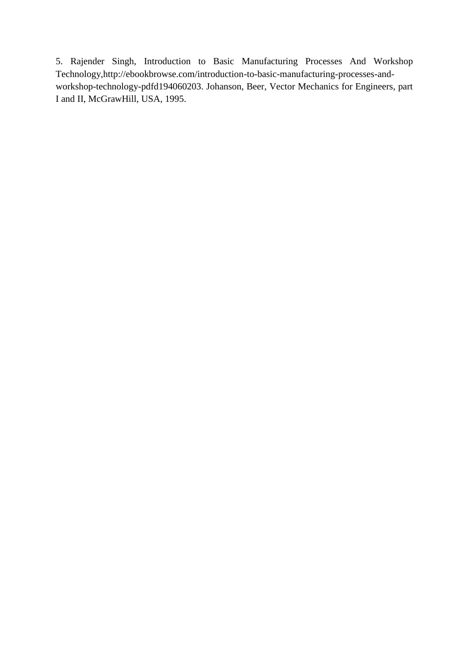5. Rajender Singh, Introduction to Basic Manufacturing Processes And Workshop Technology,http://ebookbrowse.com/introduction-to-basic-manufacturing-processes-andworkshop-technology-pdfd194060203. Johanson, Beer, Vector Mechanics for Engineers, part I and II, McGrawHill, USA, 1995.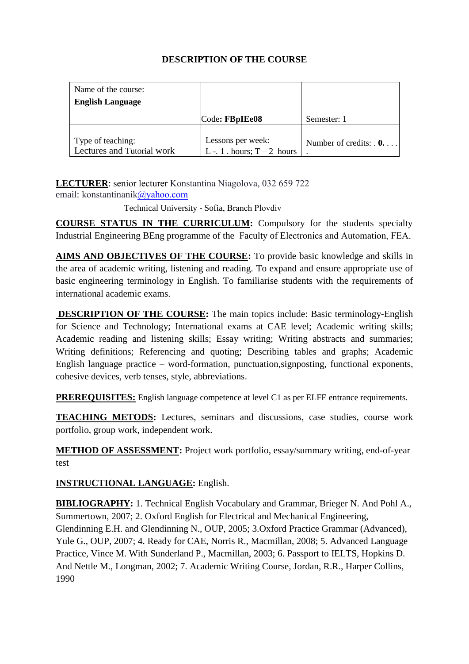| Name of the course:                             |                                                  |                                 |
|-------------------------------------------------|--------------------------------------------------|---------------------------------|
| <b>English Language</b>                         |                                                  |                                 |
|                                                 | Code: FBpIEe08                                   | Semester: 1                     |
| Type of teaching:<br>Lectures and Tutorial work | Lessons per week:<br>L -. 1 . hours; $T-2$ hours | Number of credits: $\mathbf{0}$ |

**LECTURER**: senior lecturer Konstantina Niagolova, [032 659 722](mailto:a_dineva@tu-sofia.bg) email: konstantinanik@yahoo.com

Technical University - Sofia, Branch Plovdiv

**COURSE STATUS IN THE CURRICULUM:** Compulsory for the students specialty Industrial Engineering BEng programme of the Faculty of Electronics and Automation, FEA.

**AIMS AND OBJECTIVES OF THE COURSE:** To provide basic knowledge and skills in the area of academic writing, listening and reading. To expand and ensure appropriate use of basic engineering terminology in English. To familiarise students with the requirements of international academic exams.

**DESCRIPTION OF THE COURSE:** The main topics include: Basic terminology-English for Science and Technology; International exams at CAE level; Academic writing skills; Academic reading and listening skills; Essay writing; Writing abstracts and summaries; Writing definitions; Referencing and quoting; Describing tables and graphs; Academic English language practice – word-formation, punctuation,signposting, functional exponents, cohesive devices, verb tenses, style, abbreviations.

**PREREQUISITES:** English language competence at level C1 as per ELFE entrance requirements.

**TEACHING METODS:** Lectures, seminars and discussions, case studies, course work portfolio, group work, independent work.

**METHOD OF ASSESSMENT:** Project work portfolio, essay/summary writing, end-of-year test

**INSTRUCTIONAL LANGUAGE:** English.

**BIBLIOGRAPHY:** 1. Technical English Vocabulary and Grammar, Brieger N. And Pohl A., Summertown, 2007; 2. Oxford English for Electrical and Mechanical Engineering, Glendinning E.H. and Glendinning N., OUP, 2005; 3.Oxford Practice Grammar (Advanced), Yule G., OUP, 2007; 4. Ready for CAE, Norris R., Macmillan, 2008; 5. Advanced Language Practice, Vince M. With Sunderland P., Macmillan, 2003; 6. Passport to IELTS, Hopkins D. And Nettle M., Longman, 2002; 7. Academic Writing Course, Jordan, R.R., Harper Collins, 1990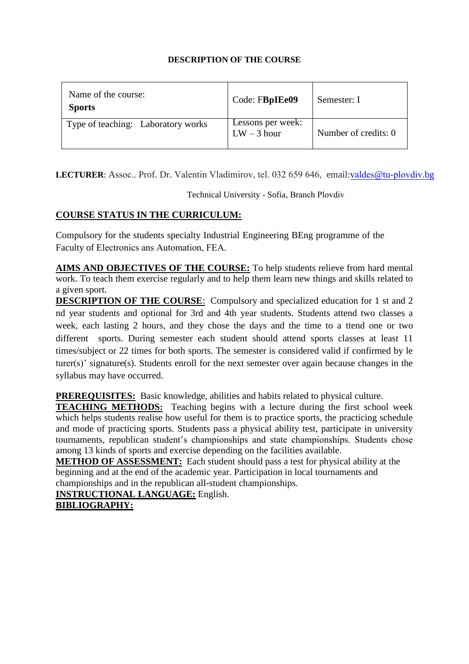| Name of the course:<br><b>Sports</b> | Code: FBpIEe09                     | Semester: I          |
|--------------------------------------|------------------------------------|----------------------|
| Type of teaching: Laboratory works   | Lessons per week:<br>$LW - 3$ hour | Number of credits: 0 |

LECTURER: Assoc.. Prof. Dr. Valentin Vladi[mirov, tel. 032 659 646,](mailto:iv_venkov@tu-sofia.bg) email:valdes@tu-plovdiv.bg

Technical University - Sofia, Branch Plovdiv

# **COURSE STATUS IN THE CURRICULUM:**

Compulsory for the students specialty Industrial Engineering BEng programme of the Faculty of Electronics ans Automation, FEA.

work. To teach them exercise regularly and to help them learn new things and skills related to **AIMS AND OBJECTIVES OF THE COURSE:** To help students relieve from hard mental a given sport.

**DESCRIPTION OF THE COURSE**: Compulsory and specialized education for 1 st and 2 nd year students and optional for 3rd and 4th year students. Students attend two classes a week, each lasting 2 hours, and they chose the days and the time to a ttend one or two different sports. During semester each student should attend sports classes at least 11 times/subject or 22 times for both sports. The semester is considered valid if confirmed by le turer(s)' signature(s). Students enroll for the next semester over again because changes in the syllabus may have occurred.

**PREREQUISITES:** Basic knowledge, abilities and habits related to physical culture.

**TEACHING METHODS:** Teaching begins with a lecture during the first school week which helps students realise how useful for them is to practice sports, the practicing schedule and mode of practicing sports. Students pass a physical ability test, participate in university tournaments, republican student's championships and state championships. Students chose among 13 kinds of sports and exercise depending on the facilities available.

**METHOD OF ASSESSMENT:** Each student should pass a test for physical ability at the beginning and at the end of the academic year. Participation in local tournaments and championships and in the republican all-student championships.

**INSTRUCTIONAL LANGUAGE:** English.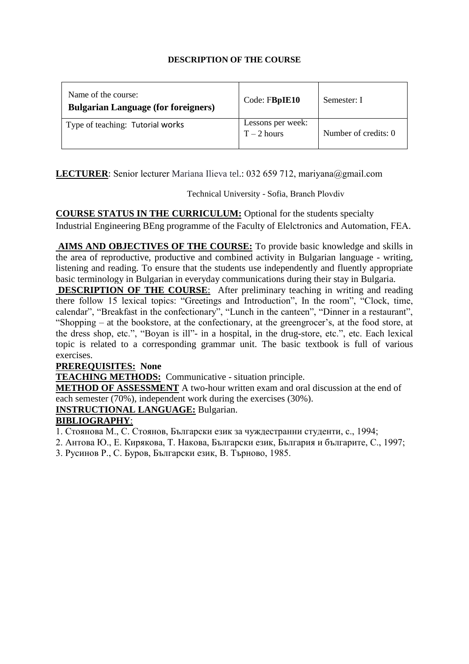| Name of the course:<br><b>Bulgarian Language (for foreigners)</b> | Code: FBpIE10                      | Semester: I          |
|-------------------------------------------------------------------|------------------------------------|----------------------|
| Type of teaching: Tutorial works                                  | Lessons per week:<br>$T - 2$ hours | Number of credits: 0 |

**LECTURER**: Senior lecturer Mariana Ilieva tel.: 032 659 712, mariyana@gmail.com

Technical University - Sofia, Branch Plovdiv

**COURSE STATUS IN THE CURRICULUM:** Optional for the students specialty Industrial Engineering BEng programme of the Faculty of Elelctronics and Automation, FEA.

AIMS AND OBJECTIVES OF THE COURSE: To provide basic knowledge and skills in basic terminology in Bulgarian in everyday communications during their stay in Bulgaria. the area of reproductive, productive and combined activity in Bulgarian language - writing, listening and reading. To ensure that the students use independently and fluently appropriate

**DESCRIPTION OF THE COURSE:** After preliminary teaching in writing and reading there follow 15 lexical topics: "Greetings and Introduction", In the room", "Clock, time, calendar", "Breakfast in the confectionary", "Lunch in the canteen", "Dinner in a restaurant", "Shopping – at the bookstore, at the confectionary, at the greengrocer's, at the food store, at the dress shop, etc.", "Boyan is ill"- in a hospital, in the drug-store, etc.", etc. Each lexical topic is related to a corresponding grammar unit. The basic textbook is full of various exercises.

# **PREREQUISITES: None**

**TEACHING METHODS:** Communicative - situation principle.

**METHOD OF ASSESSMENT** A two-hour written exam and oral discussion at the end of each semester (70%), independent work during the exercises (30%).

**INSTRUCTIONAL LANGUAGE:** Bulgarian.

# **BIBLIOGRAPHY**:

1. Стоянова М., С. Стоянов, Български език за чуждестранни студенти, с., 1994;

- 2. Антова Ю., Е. Кирякова, Т. Накова, Български език, България и българите, С., 1997;
- 3. Русинов Р., С. Буров, Български език, В. Търново, 1985.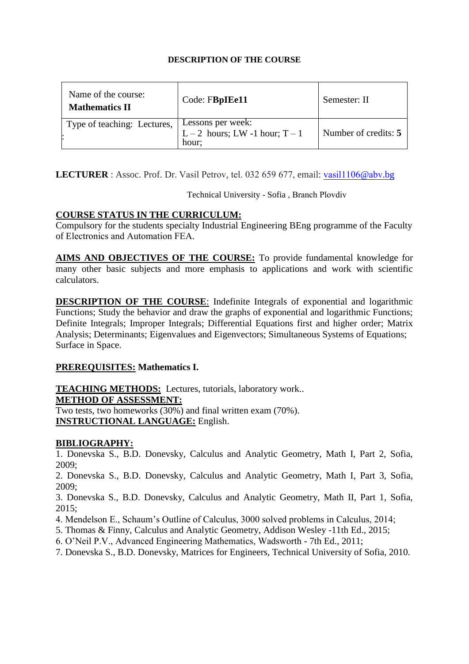| Name of the course:<br><b>Mathematics II</b> | Code: FBpIEe11                                               | Semester: II         |
|----------------------------------------------|--------------------------------------------------------------|----------------------|
| Type of teaching: Lectures,                  | Lessons per week:<br>L – 2 hours; LW -1 hour; $T-1$<br>hour: | Number of credits: 5 |

**LECTURER** : Assoc. Prof. Dr. Vasil Petrov, tel. 03[2 659 677,](mailto:sdon@tu-sofia.bg) email: vasil1106@abv.bg

Technical University - Sofia , Branch Plovdiv

# **COURSE STATUS IN THE CURRICULUM:**

Compulsory for the students specialty Industrial Engineering BEng programme of the Faculty of Electronics and Automation FEA.

AIMS AND OBJECTIVES OF THE COURSE: To provide fundamental knowledge for many other basic subjects and more emphasis to applications and work with scientific calculators.

**DESCRIPTION OF THE COURSE:** Indefinite Integrals of exponential and logarithmic Functions; Study the behavior and draw the graphs of exponential and logarithmic Functions; Definite Integrals; Improper Integrals; Differential Equations first and higher order; Matrix Analysis; Determinants; Eigenvalues and Eigenvectors; Simultaneous Systems of Equations; Surface in Space.

# **PREREQUISITES: Mathematics I.**

**TEACHING METHODS:** Lectures, tutorials, laboratory work.. **METHOD OF ASSESSMENT:**

Two tests, two homeworks (30%) and final written exam (70%). **INSTRUCTIONAL LANGUAGE:** English.

# **BIBLIOGRAPHY:**

1. Donevska S., B.D. Donevsky, Calculus and Analytic Geometry, Math I, Part 2, Sofia, 2009;

2. Donevska S., B.D. Donevsky, Calculus and Analytic Geometry, Math I, Part 3, Sofia, 2009;

3. Donevska S., B.D. Donevsky, Calculus and Analytic Geometry, Math II, Part 1, Sofia, 2015;

4. Mendelson E., Schaum's Outline of Calculus, 3000 solved problems in Calculus, 2014;

5. Thomas & Finny, Calculus and Analytic Geometry, Addison Wesley -11th Ed., 2015;

6. O'Neil P.V., Advanced Engineering Mathematics, Wadsworth - 7th Ed., 2011;

7. Donevska S., B.D. Donevsky, Matrices for Engineers, Technical University of Sofia, 2010.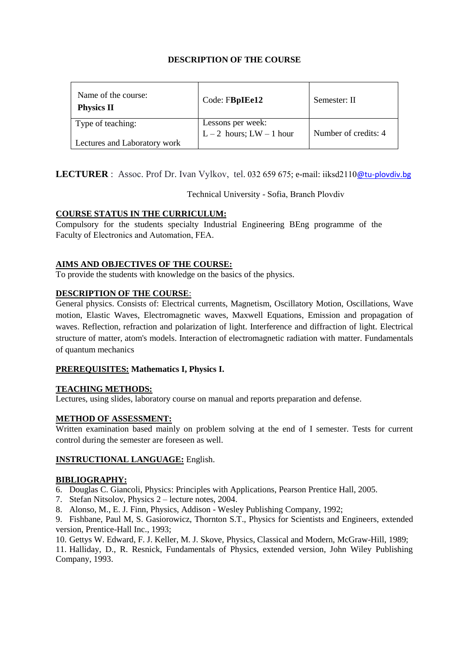| Name of the course:<br><b>Physics II</b> | Code: FBpIEe12                                | Semester: II         |
|------------------------------------------|-----------------------------------------------|----------------------|
| Type of teaching:                        | Lessons per week:<br>L – 2 hours; LW – 1 hour | Number of credits: 4 |
| Lectures and Laboratory work             |                                               |                      |

**LECTURER** : Assoc. Prof Dr. Ivan Vylkov, tel. 032 659 675; e-mail: [iiksd2110](mailto:izhivkov@tu-sofia.bg)@tu-plovdiv.bg

Technical University - Sofia, Branch Plovdiv

### **COURSE STATUS IN THE CURRICULUM:**

Compulsory for the students specialty Industrial Engineering BEng programme of the Faculty of Electronics and Automation, FEA.

### **AIMS AND OBJECTIVES OF THE COURSE:**

To provide the students with knowledge on the basics of the physics.

#### **DESCRIPTION OF THE COURSE**:

General physics. Consists of: Electrical currents, Magnetism, Oscillatory Motion, Oscillations, Wave motion, Elastic Waves, Electromagnetic waves, Maxwell Equations, Emission and propagation of waves. Reflection, refraction and polarization of light. Interference and diffraction of light. Electrical structure of matter, atom's models. Interaction of electromagnetic radiation with matter. Fundamentals of quantum mechanics

#### **PREREQUISITES: Mathematics I, Physics I.**

#### **TEACHING METHODS:**

Lectures, using slides, laboratory course on manual and reports preparation and defense.

#### **METHOD OF ASSESSMENT:**

Written examination based mainly on problem solving at the end of I semester. Tests for current control during the semester are foreseen as well.

#### **INSTRUCTIONAL LANGUAGE:** English.

#### **BIBLIOGRAPHY:**

6. Douglas C. Giancoli, Physics: Principles with Applications, Pearson Prentice Hall, 2005.

- 7. Stefan Nitsolov, Physics 2 lecture notes, 2004.
- 8. Alonso, M., E. J. Finn, Physics, Addison Wesley Publishing Company, 1992;

9. Fishbane, Paul M, S. Gasiorowicz, Thornton S.T., Physics for Scientists and Engineers, extended version, Prentice-Hall Inc., 1993;

10. Gettys W. Edward, F. J. Keller, M. J. Skove, Physics, Classical and Modern, McGraw-Hill, 1989;

11. Halliday, D., R. Resnick, Fundamentals of Physics, extended version, John Wiley Publishing Company, 1993.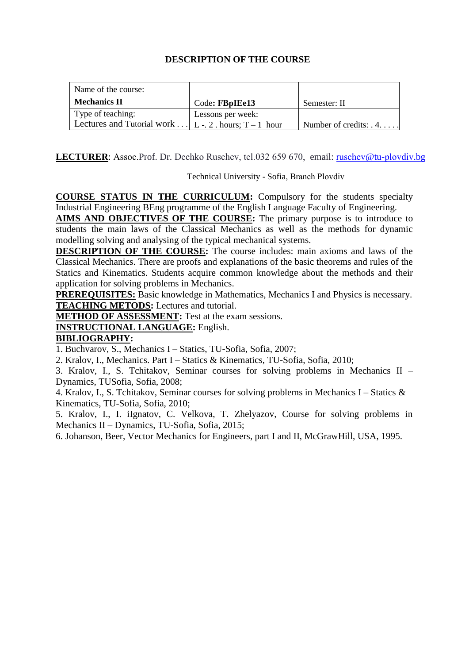| Name of the course:                                          |                   |                               |
|--------------------------------------------------------------|-------------------|-------------------------------|
| <b>Mechanics II</b>                                          | Code: FBpIEe13    | Semester: II                  |
| Type of teaching:                                            | Lessons per week: |                               |
| Lectures and Tutorial work $\vert$ L - 2 . hours; T – 1 hour |                   | Number of credits: $\ldots$ . |

**LECTURER**: Assoc.Prof. Dr. Dechko [Ruschev, tel.032 659](mailto:kralov@tu-sofia.bg) 670, email: ruschev@tu-plovdiv.bg

Technical University - Sofia, Branch Plovdiv

**COURSE STATUS IN THE CURRICULUM:** Compulsory for the students specialty Industrial Engineering BEng programme of the English Language Faculty of Engineering.

**AIMS AND OBJECTIVES OF THE COURSE:** The primary purpose is to introduce to students the main laws of the Classical Mechanics as well as the methods for dynamic modelling solving and analysing of the typical mechanical systems.

**DESCRIPTION OF THE COURSE:** The course includes: main axioms and laws of the Classical Mechanics. There are proofs and explanations of the basic theorems and rules of the Statics and Kinematics. Students acquire common knowledge about the methods and their application for solving problems in Mechanics.

**PREREQUISITES:** Basic knowledge in Mathematics, Mechanics I and Physics is necessary. **TEACHING METODS:** Lectures and tutorial.

**METHOD OF ASSESSMENT:** Test at the exam sessions.

# **INSTRUCTIONAL LANGUAGE:** English.

# **BIBLIOGRAPHY:**

1. Buchvarov, S., Mechanics I – Statics, TU-Sofia, Sofia, 2007;

2. Kralov, I., Mechanics. Part I – Statics & Kinematics, TU-Sofia, Sofia, 2010;

3. Kralov, I., S. Tchitakov, Seminar courses for solving problems in Mechanics II – Dynamics, TUSofia, Sofia, 2008;

4. Kralov, I., S. Tchitakov, Seminar courses for solving problems in Mechanics I – Statics & Kinematics, TU-Sofia, Sofia, 2010;

5. Kralov, I., I. iIgnatov, C. Velkova, T. Zhelyazov, Course for solving problems in Mechanics II – Dynamics, TU-Sofia, Sofia, 2015;

6. Johanson, Beer, Vector Mechanics for Engineers, part I and II, McGrawHill, USA, 1995.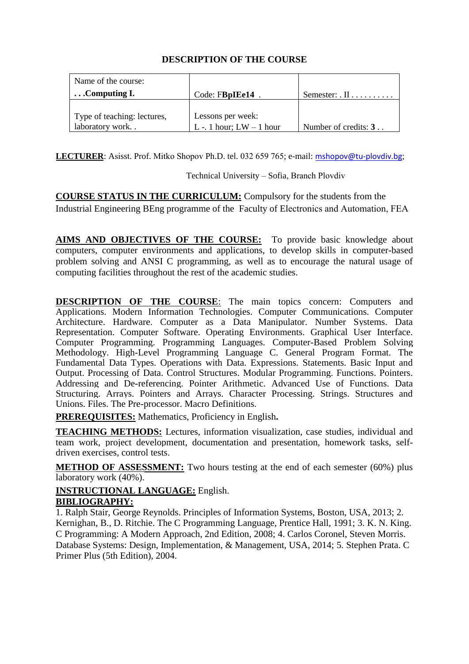| Name of the course:         |                            |                               |
|-----------------------------|----------------------------|-------------------------------|
| $\ldots$ Computing I.       | Code: FBpIEe14             | Semester: $\Pi$               |
|                             |                            |                               |
| Type of teaching: lectures, | Lessons per week:          |                               |
| laboratory work             | L -. 1 hour; $LW - 1$ hour | Number of credits: $3 \ldots$ |

**LECTURER:** Asisst. Prof. Mitko Shopov Ph.D. tel. 032 659 765; e-mail: mshopov@tu-[plovdiv](mailto:lstoyanova@tu-sofia.bg).bg;

Technical University – Sofia, Branch Plovdiv

**COURSE STATUS IN THE CURRICULUM:** Compulsory for the students from the Industrial Engineering BEng programme of the Faculty of Electronics and Automation, FEA

AIMS AND OBJECTIVES OF THE COURSE: To provide basic knowledge about computers, computer environments and applications, to develop skills in computer-based problem solving and ANSI C programming, as well as to encourage the natural usage of computing facilities throughout the rest of the academic studies.

**DESCRIPTION OF THE COURSE:** The main topics concern: Computers and Applications. Modern Information Technologies. Computer Communications. Computer Architecture. Hardware. Computer as a Data Manipulator. Number Systems. Data Representation. Computer Software. Operating Environments. Graphical User Interface. Computer Programming. Programming Languages. Computer-Based Problem Solving Methodology. High-Level Programming Language C. General Program Format. The Fundamental Data Types. Operations with Data. Expressions. Statements. Basic Input and Output. Processing of Data. Control Structures. Modular Programming. Functions. Pointers. Addressing and De-referencing. Pointer Arithmetic. Advanced Use of Functions. Data Structuring. Arrays. Pointers and Arrays. Character Processing. Strings. Structures and Unions. Files. The Pre-processor. Macro Definitions.

**PREREQUISITES:** Mathematics, Proficiency in English**.**

**TEACHING METHODS:** Lectures, information visualization, case studies, individual and team work, project development, documentation and presentation, homework tasks, selfdriven exercises, control tests.

**METHOD OF ASSESSMENT:** Two hours testing at the end of each semester (60%) plus laboratory work (40%).

# **INSTRUCTIONAL LANGUAGE:** English. **BIBLIOGRAPHY:**

1. Ralph Stair, George Reynolds. Principles of Information Systems, Boston, USA, 2013; 2. Kernighan, B., D. Ritchie. The C Programming Language, Prentice Hall, 1991; 3. [K. N. King.](http://www.amazon.com/K.-N.-King/e/B000APEOAW/ref=dp_byline_cont_book_1) C Programming: A Modern Approach, 2nd Edition, 2008; 4. Carlos Coronel, Steven Morris. Database Systems: Design, Implementation, & Management, USA, 2014; 5. Stephen Prata. C Primer Plus (5th Edition), 2004.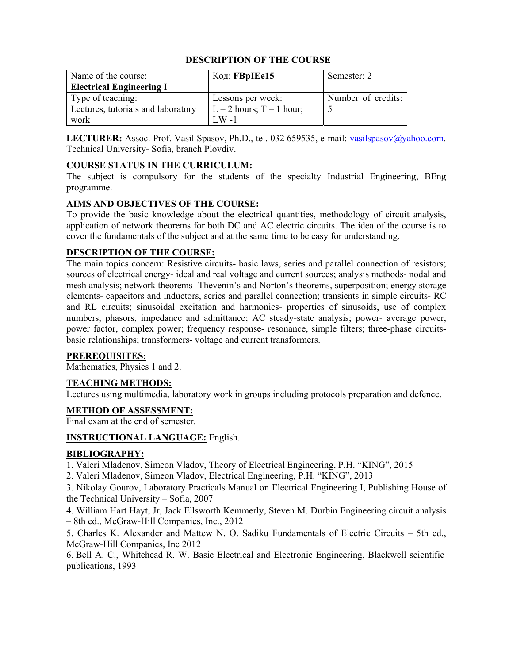| Name of the course:                | Код: <b>FBpIEe15</b>         | Semester: 2        |
|------------------------------------|------------------------------|--------------------|
| <b>Electrical Engineering I</b>    |                              |                    |
| Type of teaching:                  | Lessons per week:            | Number of credits: |
| Lectures, tutorials and laboratory | $L - 2$ hours; $T - 1$ hour; |                    |
| work                               | $W -$                        |                    |

LECTURER: Assoc. Prof. Vasil Spasov, Ph.D., tel. 032 659535, e-mail: vasilspasov@yahoo.com. Technical University- Sofia, branch Plovdiv.

### **COURSE STATUS IN THE CURRICULUM:**

The subject is compulsory for the students of the specialty Industrial Engineering, BEng programme.

### **AIMS AND OBJECTIVES OF THE COURSE:**

To provide the basic knowledge about the electrical quantities, methodology of circuit analysis, application of network theorems for both DC and AC electric circuits. The idea of the course is to cover the fundamentals of the subject and at the same time to be easy for understanding.

### **DESCRIPTION OF THE COURSE:**

The main topics concern: Resistive circuits- basic laws, series and parallel connection of resistors; sources of electrical energy- ideal and real voltage and current sources; analysis methods- nodal and mesh analysis; network theorems- Thevenin's and Norton's theorems, superposition; energy storage elements- capacitors and inductors, series and parallel connection; transients in simple circuits- RC and RL circuits; sinusoidal excitation and harmonics- properties of sinusoids, use of complex numbers, phasors, impedance and admittance; AC steady-state analysis; power- average power, power factor, complex power; frequency response- resonance, simple filters; three-phase circuitsbasic relationships; transformers- voltage and current transformers.

#### **PREREQUISITES:**

Mathematics, Physics 1 and 2.

#### **TEACHING METHODS:**

Lectures using multimedia, laboratory work in groups including protocols preparation and defence.

#### **METHOD OF ASSESSMENT:**

Final exam at the end of semester.

#### **INSTRUCTIONAL LANGUAGE:** English.

#### **BIBLIOGRAPHY:**

1. Valeri Mladenov, Simeon Vladov, Theory of Electrical Engineering, P.H. "KING", 2015

2. Valeri Mladenov, Simeon Vladov, Electrical Engineering, P.H. "KING", 2013

3. Nikolay Gourov, Laboratory Practicals Manual on Electrical Engineering I, Publishing House of the Technical University – Sofia, 2007

4. William Hart Hayt, Jr, Jack Ellsworth Kemmerly, Steven M. Durbin Engineering circuit analysis – 8th ed., McGraw-Hill Companies, Inc., 2012

5. Charles K. Alexander and Mattew N. O. Sadiku Fundamentals of Electric Circuits – 5th ed., McGraw-Hill Companies, Inc 2012

6. Bell A. C., Whitehead R. W. Basic Electrical and Electronic Engineering, Blackwell scientific publications, 1993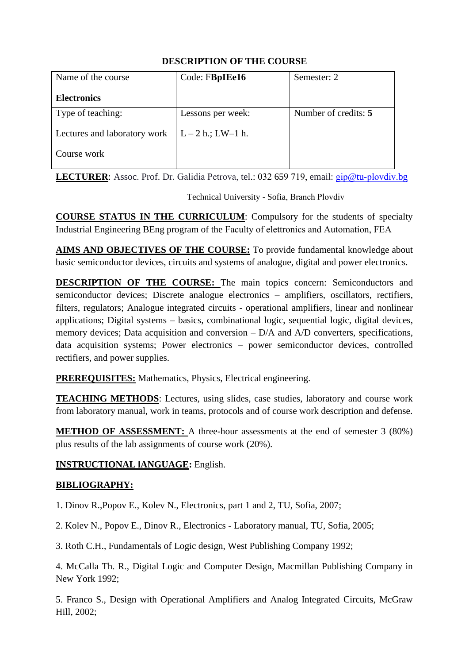| Name of the course           | Code: FBpIEe16      | Semester: 2          |
|------------------------------|---------------------|----------------------|
| <b>Electronics</b>           |                     |                      |
| Type of teaching:            | Lessons per week:   | Number of credits: 5 |
| Lectures and laboratory work | $L - 2 h$ ; LW-1 h. |                      |
| Course work                  |                     |                      |

**LECTURER**: Assoc. Prof. Dr. Galidia Petrova, tel.: 032 659 719, [email:](mailto:rdinov@tu-sofia.bg) gip@tu-plovdiv.bg

Technical University - Sofia, Branch Plovdiv

**COURSE STATUS IN THE CURRICULUM**: Compulsory for the students of specialty Industrial Engineering BEng program of the Faculty of elettronics and Automation, FEA

**AIMS AND OBJECTIVES OF THE COURSE:** To provide fundamental knowledge about basic semiconductor devices, circuits and systems of analogue, digital and power electronics.

**DESCRIPTION OF THE COURSE:** The main topics concern: Semiconductors and semiconductor devices; Discrete analogue electronics – amplifiers, oscillators, rectifiers, filters, regulators; Analogue integrated circuits - operational amplifiers, linear and nonlinear applications; Digital systems – basics, combinational logic, sequential logic, digital devices, memory devices; Data acquisition and conversion – D/A and A/D converters, specifications, data acquisition systems; Power electronics – power semiconductor devices, controlled rectifiers, and power supplies.

**PREREQUISITES:** Mathematics, Physics, Electrical engineering.

**TEACHING METHODS**: Lectures, using slides, case studies, laboratory and course work from laboratory manual, work in teams, protocols and of course work description and defense.

**METHOD OF ASSESSMENT:** A three-hour assessments at the end of semester 3 (80%) plus results of the lab assignments of course work (20%).

# **INSTRUCTIONAL lANGUAGE:** English.

# **BIBLIOGRAPHY:**

1. Dinov R.,Popov E., Kolev N., Electronics, part 1 and 2, TU, Sofia, 2007;

2. Kolev N., Popov E., Dinov R., Electronics - Laboratory manual, TU, Sofia, 2005;

3. Roth C.H., Fundamentals of Logic design, West Publishing Company 1992;

4. McCalla Th. R., Digital Logic and Computer Design, Macmillan Publishing Company in New York 1992;

5. Franco S., Design with Operational Amplifiers and Analog Integrated Circuits, McGraw Hill, 2002;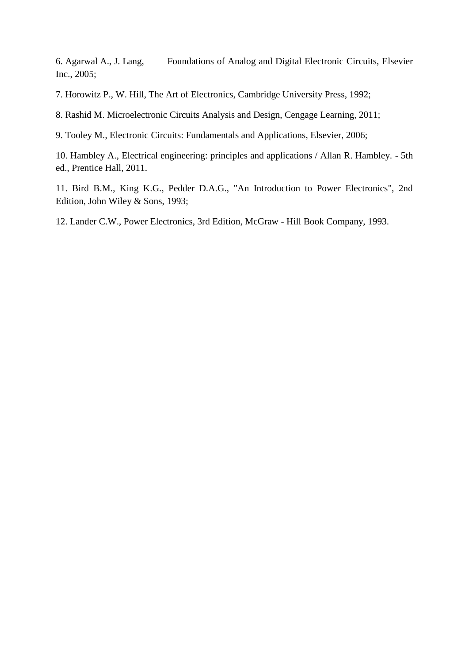6. Agarwal A., J. Lang, Foundations of Analog and Digital Electronic Circuits, Elsevier Inc., 2005;

7. Horowitz P., W. Hill, The Art of Electronics, Cambridge University Press, 1992;

8. Rashid M. Microelectronic Circuits Analysis and Design, Cengage Learning, 2011;

9. Tooley M., Electronic Circuits: Fundamentals and Applications, Elsevier, 2006;

10. Hambley A., Electrical engineering: principles and applications / Allan R. Hambley. - 5th ed., Prentice Hall, 2011.

11. Bird B.M., King K.G., Pedder D.A.G., "An Introduction to Power Electronics", 2nd Edition, John Wiley & Sons, 1993;

12. Lander C.W., Power Electronics, 3rd Edition, McGraw - Hill Book Company, 1993.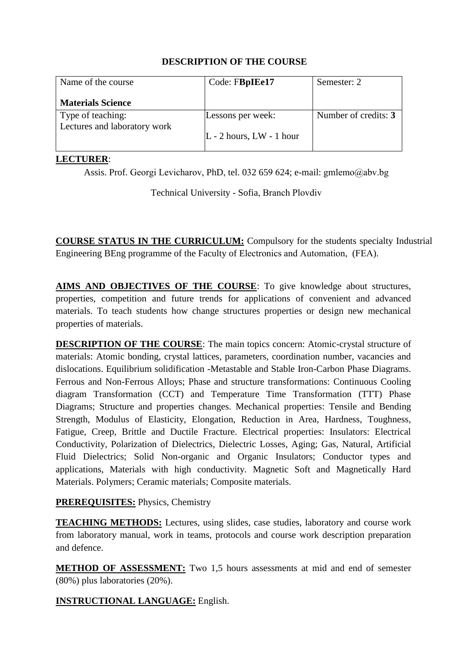| Name of the course           | Code: FBpIEe17               | Semester: 2          |
|------------------------------|------------------------------|----------------------|
| <b>Materials Science</b>     |                              |                      |
| Type of teaching:            | Lessons per week:            | Number of credits: 3 |
| Lectures and laboratory work | $L - 2$ hours, $LW - 1$ hour |                      |

### **LECTURER**:

Assis. Prof. Georgi Levicharov, PhD, tel. 032 659 624; e-mail: [gmlemo@abv.b](mailto:amm@tu-sofia.bg)g

Technical University - Sofia, Branch Pl[ovdiv](mailto:ganchev_d@tu-sofia.bg)

**COURSE STATUS IN THE CURRICULUM:** Compulsory for the students specialty Industrial Engineering BEng programme of the Faculty of Electronics and Automation, (FEA).

**AIMS AND OBJECTIVES OF THE COURSE**: To give knowledge about structures, properties, competition and future trends for applications of convenient and advanced materials. To teach students how change structures properties or design new mechanical properties of materials.

**DESCRIPTION OF THE COURSE**: The main topics concern: Atomic-crystal structure of materials: Atomic bonding, crystal lattices, parameters, coordination number, vacancies and dislocations. Equilibrium solidification -Metastable and Stable Iron-Carbon Phase Diagrams. Ferrous and Non-Ferrous Alloys; Phase and structure transformations: Continuous Cooling diagram Transformation (CCT) and Temperature Time Transformation (TTT) Phase Diagrams; Structure and properties changes. Mechanical properties: Tensile and Bending Strength, Modulus of Elasticity, Elongation, Reduction in Area, Hardness, Toughness, Fatigue, Creep, Brittle and Ductile Fracture. Electrical properties: Insulators: Electrical Conductivity, Polarization of Dielectrics, Dielectric Losses, Aging; Gas, Natural, Artificial Fluid Dielectrics; Solid Non-organic and Organic Insulators; Conductor types and applications, Materials with high conductivity. Magnetic Soft and Magnetically Hard Materials. Polymers; Ceramic materials; Composite materials.

# **PREREQUISITES:** Physics, Chemistry

**TEACHING METHODS:** Lectures, using slides, case studies, laboratory and course work from laboratory manual, work in teams, protocols and course work description preparation and defence.

**METHOD OF ASSESSMENT:** Two 1,5 hours assessments at mid and end of semester (80%) plus laboratories (20%).

**INSTRUCTIONAL LANGUAGE:** English.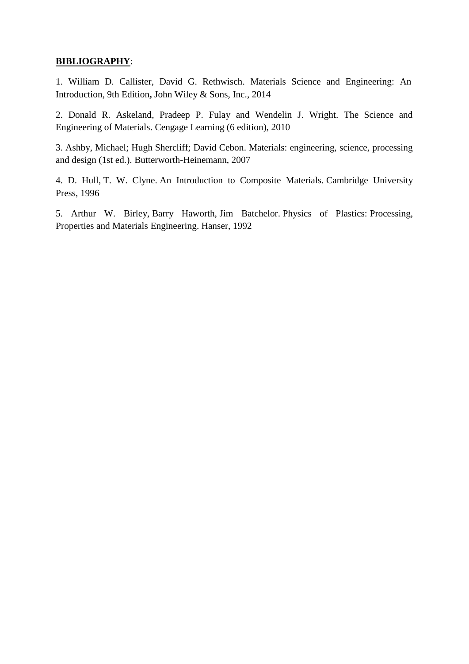## **BIBLIOGRAPHY**:

1. William D. Callister, David G. Rethwisch. Materials Science and Engineering: An Introduction, 9th Edition**,** John Wiley & Sons, Inc., 2014

2. Donald R. Askeland, Pradeep P. Fulay and Wendelin J. Wright. The Science and Engineering of Materials. Cengage Learning (6 edition), 2010

3. Ashby, Michael; Hugh Shercliff; David Cebon. Materials: engineering, science, processing and design (1st ed.). Butterworth-Heinemann, 2007

4. D. Hull, T. W. Clyne. An Introduction to Composite Materials. Cambridge University Press, 1996

5. Arthur W. Birley, Barry Haworth, Jim Batchelor. Physics of Plastics: Processing, Properties and Materials Engineering. Hanser, 1992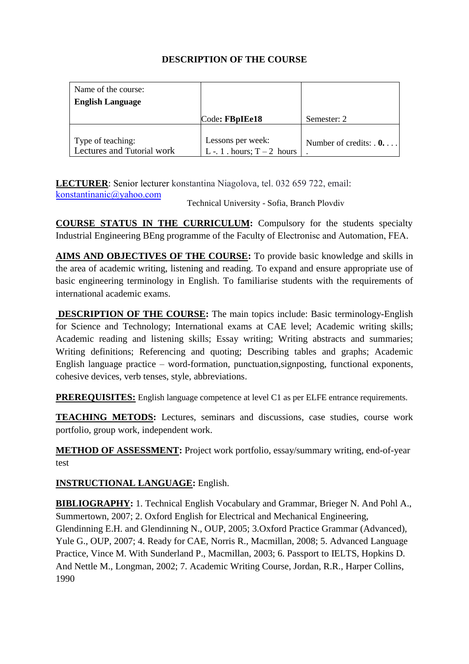| Name of the course:                             |                                                  |                        |
|-------------------------------------------------|--------------------------------------------------|------------------------|
| <b>English Language</b>                         |                                                  |                        |
|                                                 | Code: FBpIEe18                                   | Semester: 2            |
| Type of teaching:<br>Lectures and Tutorial work | Lessons per week:<br>L -. 1 . hours; $T-2$ hours | Number of credits: $0$ |

**LECTURER**: Senior lecturer konstantina Niagolova, [tel. 032 659 722,](mailto:a_dineva@tu-sofia.bg) email: konstantinanic@yahoo.com

Technical University - Sofia, Branch Plovdiv

**COURSE STATUS IN THE CURRICULUM:** Compulsory for the students specialty Industrial Engineering BEng programme of the Faculty of Electronisc and Automation, FEA.

**AIMS AND OBJECTIVES OF THE COURSE:** To provide basic knowledge and skills in the area of academic writing, listening and reading. To expand and ensure appropriate use of basic engineering terminology in English. To familiarise students with the requirements of international academic exams.

**DESCRIPTION OF THE COURSE:** The main topics include: Basic terminology-English for Science and Technology; International exams at CAE level; Academic writing skills; Academic reading and listening skills; Essay writing; Writing abstracts and summaries; Writing definitions; Referencing and quoting; Describing tables and graphs; Academic English language practice – word-formation, punctuation,signposting, functional exponents, cohesive devices, verb tenses, style, abbreviations.

**PREREQUISITES:** English language competence at level C1 as per ELFE entrance requirements.

**TEACHING METODS:** Lectures, seminars and discussions, case studies, course work portfolio, group work, independent work.

**METHOD OF ASSESSMENT:** Project work portfolio, essay/summary writing, end-of-year test

**INSTRUCTIONAL LANGUAGE:** English.

**BIBLIOGRAPHY:** 1. Technical English Vocabulary and Grammar, Brieger N. And Pohl A., Summertown, 2007; 2. Oxford English for Electrical and Mechanical Engineering, Glendinning E.H. and Glendinning N., OUP, 2005; 3.Oxford Practice Grammar (Advanced), Yule G., OUP, 2007; 4. Ready for CAE, Norris R., Macmillan, 2008; 5. Advanced Language Practice, Vince M. With Sunderland P., Macmillan, 2003; 6. Passport to IELTS, Hopkins D. And Nettle M., Longman, 2002; 7. Academic Writing Course, Jordan, R.R., Harper Collins, 1990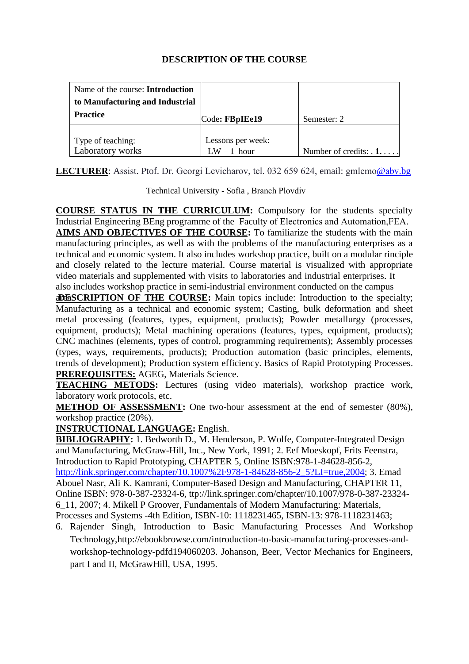| Name of the course: <b>Introduction</b> |                   |                             |
|-----------------------------------------|-------------------|-----------------------------|
| to Manufacturing and Industrial         |                   |                             |
| <b>Practice</b>                         | Code: FBpIEe19    | Semester: 2                 |
|                                         |                   |                             |
| Type of teaching:                       | Lessons per week: |                             |
| Laboratory works                        | $LW - 1$ hour     | Number of credits: $\ldots$ |

**LECTURER**: Assist. Ptof. Dr. Georgi Levicharov, [tel. 032 659 624,](mailto:ivoianakiev@mail.bg) email: gmlemo@abv.bg

Technical University - Sofia , Branch Plovdiv

**COURSE STATUS IN THE CURRICULUM:** Compulsory for the students specialty Industrial Engineering BEng programme of the Faculty of Electronics and Automation,FEA. **AIMS AND OBJECTIVES OF THE COURSE:** To familiarize the students with the main

manufacturing principles, as well as with the problems of the manufacturing enterprises as a technical and economic system. It also includes workshop practice, built on a modular rinciple and closely related to the lecture material. Course material is visualized with appropriate video materials and supplemented with visits to laboratories and industrial enterprises. It also includes workshop practice in semi-industrial environment conducted on the campus

**aDESCRIPTION OF THE COURSE:** Main topics include: Introduction to the specialty; Manufacturing as a technical and economic system; Casting, bulk deformation and sheet metal processing (features, types, equipment, products); Powder metallurgy (processes, equipment, products); Metal machining operations (features, types, equipment, products); CNC machines (elements, types of control, programming requirements); Assembly processes (types, ways, requirements, products); Production automation (basic principles, elements, trends of development); Production system efficiency. Basics of Rapid Prototyping Processes. **PREREQUISITES:** AGEG, Materials Science.

**TEACHING METODS:** Lectures (using video materials), workshop practice work, laboratory work protocols, etc.

**METHOD OF ASSESSMENT:** One two-hour assessment at the end of semester (80%), workshop practice (20%).

**INSTRUCTIONAL LANGUAGE:** English.

**BIBLIOGRAPHY:** 1. Bedworth D., M. Henderson, P. Wolfe, Computer-Integrated Design and Manufacturing, McGraw-Hill, Inc., New York, 1991; 2. Eef Moeskopf, Frits Feenstra, Introduction to Rapid Prototyping, CHAPTER 5, Online ISBN:978-1-84628-856-2, [http://link.springer.com/chapter/10.1007%2F978-1-84628-856-2\\_5?LI=true,2004;](http://link.springer.com/chapter/10.1007%2F978-1-84628-856-2_5?LI=true,2004) 3. Emad Abouel Nasr, Ali K. Kamrani, Computer-Based Design and Manufacturing, CHAPTER 11, Online ISBN: 978-0-387-23324-6, ttp://link.springer.com/chapter/10.1007/978-0-387-23324- 6\_11, 2007; 4. Mikell P Groover, Fundamentals of Modern Manufacturing: Materials, Processes and Systems -4th Edition, ISBN-10: 1118231465, ISBN-13: 978-1118231463;

6. Rajender Singh, Introduction to Basic Manufacturing Processes And Workshop Technology,http://ebookbrowse.com/introduction-to-basic-manufacturing-processes-andworkshop-technology-pdfd194060203. Johanson, Beer, Vector Mechanics for Engineers, part I and II, McGrawHill, USA, 1995.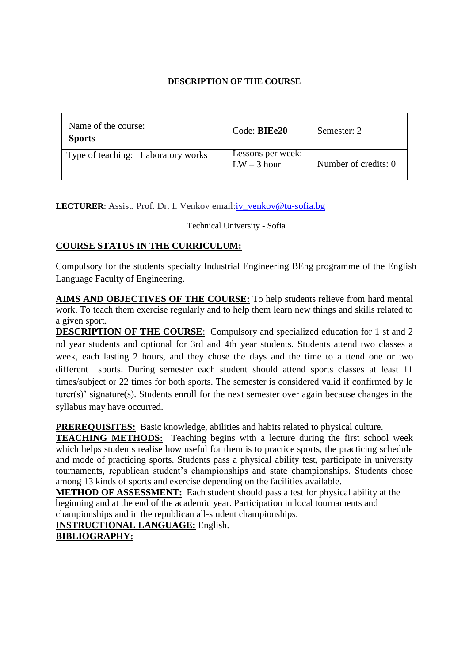| Name of the course:<br><b>Sports</b> | Code: BIEe20                       | Semester: 2          |
|--------------------------------------|------------------------------------|----------------------|
| Type of teaching: Laboratory works   | Lessons per week:<br>$LW - 3$ hour | Number of credits: 0 |

LECTURER: Assist. Prof. Dr. I. Venkov email: iv\_venkov@tu-sofia.bg

Technical University - Sofia

# **COURSE STATUS IN THE CURRICULUM:**

Compulsory for the students specialty Industrial Engineering BEng programme of the English Language Faculty of Engineering.

work. To teach them exercise regularly and to help them learn new things and skills related to **AIMS AND OBJECTIVES OF THE COURSE:** To help students relieve from hard mental a given sport.

**DESCRIPTION OF THE COURSE**: Compulsory and specialized education for 1 st and 2 nd year students and optional for 3rd and 4th year students. Students attend two classes a week, each lasting 2 hours, and they chose the days and the time to a ttend one or two different sports. During semester each student should attend sports classes at least 11 times/subject or 22 times for both sports. The semester is considered valid if confirmed by le turer(s)' signature(s). Students enroll for the next semester over again because changes in the syllabus may have occurred.

**PREREQUISITES:** Basic knowledge, abilities and habits related to physical culture.

**TEACHING METHODS:** Teaching begins with a lecture during the first school week which helps students realise how useful for them is to practice sports, the practicing schedule and mode of practicing sports. Students pass a physical ability test, participate in university tournaments, republican student's championships and state championships. Students chose among 13 kinds of sports and exercise depending on the facilities available.

**METHOD OF ASSESSMENT:** Each student should pass a test for physical ability at the beginning and at the end of the academic year. Participation in local tournaments and championships and in the republican all-student championships.

**INSTRUCTIONAL LANGUAGE:** English. **BIBLIOGRAPHY:**